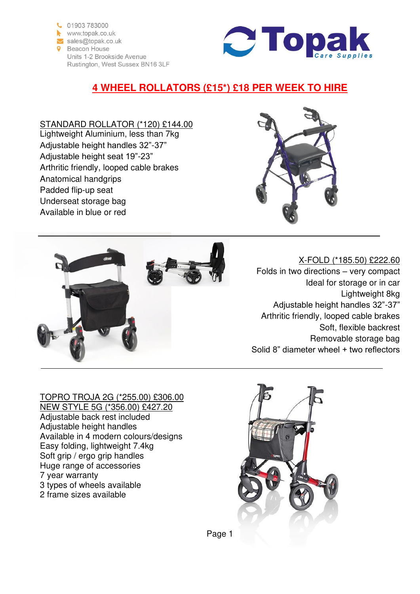



# **4 WHEEL ROLLATORS (£15\*) £18 PER WEEK TO HIRE**

## STANDARD ROLLATOR (\*120) £144.00

Lightweight Aluminium, less than 7kg Adjustable height handles 32"-37" Adjustable height seat 19"-23" Arthritic friendly, looped cable brakes Anatomical handgrips Padded flip-up seat Underseat storage bag Available in blue or red





### X-FOLD (\*185.50) £222.60 Folds in two directions – very compact Ideal for storage or in car Lightweight 8kg Adjustable height handles 32"-37" Arthritic friendly, looped cable brakes Soft, flexible backrest Removable storage bag Solid 8" diameter wheel + two reflectors

#### TOPRO TROJA 2G (\*255.00) £306.00 NEW STYLE 5G (\*356.00) £427.20 Adjustable back rest included Adjustable height handles Available in 4 modern colours/designs Easy folding, lightweight 7.4kg Soft grip / ergo grip handles Huge range of accessories 7 year warranty 3 types of wheels available 2 frame sizes available

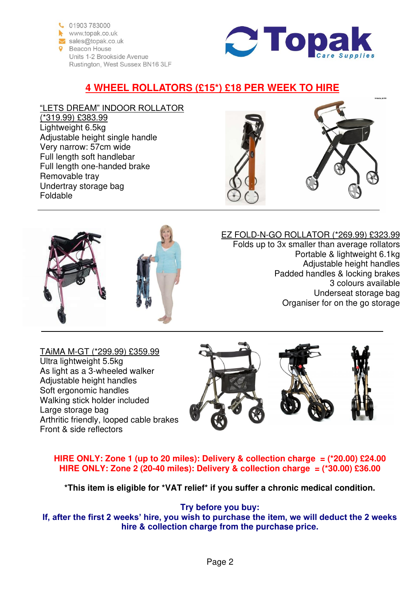



# **4 WHEEL ROLLATORS (£15\*) £18 PER WEEK TO HIRE**

#### "LETS DREAM" INDOOR ROLLATOR (\*319.99) £383.99 Lightweight 6.5kg Adjustable height single handle Very narrow: 57cm wide Full length soft handlebar Full length one-handed brake Removable tray Undertray storage bag Foldable





### EZ FOLD-N-GO ROLLATOR (\*269.99) £323.99

Folds up to 3x smaller than average rollators Portable & lightweight 6.1kg Adjustable height handles Padded handles & locking brakes 3 colours available Underseat storage bag Organiser for on the go storage

TAiMA M-GT (\*299.99) £359.99 Ultra lightweight 5.5kg As light as a 3-wheeled walker Adjustable height handles Soft ergonomic handles Walking stick holder included Large storage bag Arthritic friendly, looped cable brakes Front & side reflectors



### **HIRE ONLY: Zone 1 (up to 20 miles): Delivery & collection charge = (\*20.00) £24.00 HIRE ONLY: Zone 2 (20-40 miles): Delivery & collection charge = (\*30.00) £36.00**

**\*This item is eligible for \*VAT relief\* if you suffer a chronic medical condition.** 

**Try before you buy:**

**If, after the first 2 weeks' hire, you wish to purchase the item, we will deduct the 2 weeks hire & collection charge from the purchase price.**